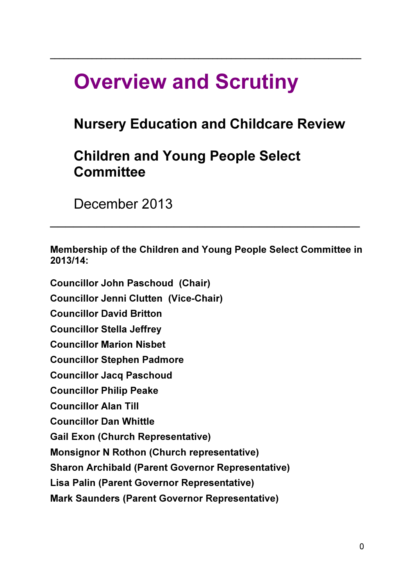# Overview and Scrutiny

## Nursery Education and Childcare Review

 $\_$  , and the set of the set of the set of the set of the set of the set of the set of the set of the set of the set of the set of the set of the set of the set of the set of the set of the set of the set of the set of th

## Children and Young People Select **Committee**

December 2013

Membership of the Children and Young People Select Committee in 2013/14:

 $\mathcal{L}_\mathcal{L} = \mathcal{L}_\mathcal{L} = \mathcal{L}_\mathcal{L} = \mathcal{L}_\mathcal{L} = \mathcal{L}_\mathcal{L} = \mathcal{L}_\mathcal{L} = \mathcal{L}_\mathcal{L} = \mathcal{L}_\mathcal{L} = \mathcal{L}_\mathcal{L} = \mathcal{L}_\mathcal{L} = \mathcal{L}_\mathcal{L} = \mathcal{L}_\mathcal{L} = \mathcal{L}_\mathcal{L} = \mathcal{L}_\mathcal{L} = \mathcal{L}_\mathcal{L} = \mathcal{L}_\mathcal{L} = \mathcal{L}_\mathcal{L}$ 

Councillor John Paschoud (Chair) Councillor Jenni Clutten (Vice-Chair) Councillor David Britton Councillor Stella Jeffrey Councillor Marion Nisbet Councillor Stephen Padmore Councillor Jacq Paschoud Councillor Philip Peake Councillor Alan Till Councillor Dan Whittle Gail Exon (Church Representative) Monsignor N Rothon (Church representative) Sharon Archibald (Parent Governor Representative) Lisa Palin (Parent Governor Representative) Mark Saunders (Parent Governor Representative)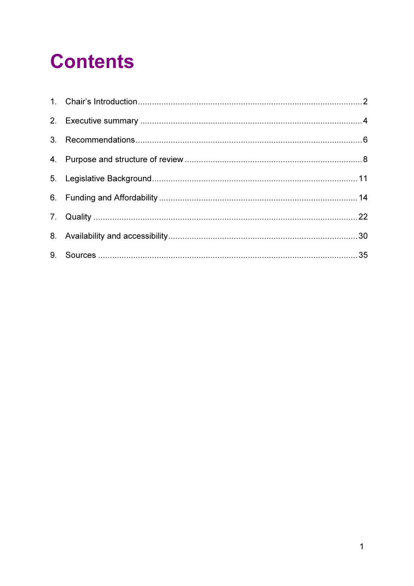# **Contents**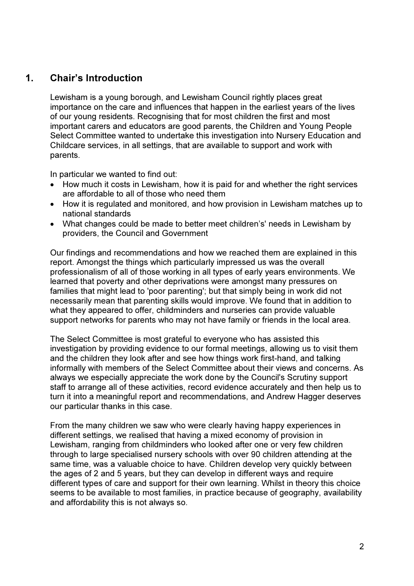## 1. Chair's Introduction

Lewisham is a young borough, and Lewisham Council rightly places great importance on the care and influences that happen in the earliest years of the lives of our young residents. Recognising that for most children the first and most important carers and educators are good parents, the Children and Young People Select Committee wanted to undertake this investigation into Nursery Education and Childcare services, in all settings, that are available to support and work with parents.

In particular we wanted to find out:

- How much it costs in Lewisham, how it is paid for and whether the right services are affordable to all of those who need them
- How it is regulated and monitored, and how provision in Lewisham matches up to national standards
- What changes could be made to better meet children's' needs in Lewisham by providers, the Council and Government

Our findings and recommendations and how we reached them are explained in this report. Amongst the things which particularly impressed us was the overall professionalism of all of those working in all types of early years environments. We learned that poverty and other deprivations were amongst many pressures on families that might lead to 'poor parenting'; but that simply being in work did not necessarily mean that parenting skills would improve. We found that in addition to what they appeared to offer, childminders and nurseries can provide valuable support networks for parents who may not have family or friends in the local area.

The Select Committee is most grateful to everyone who has assisted this investigation by providing evidence to our formal meetings, allowing us to visit them and the children they look after and see how things work first-hand, and talking informally with members of the Select Committee about their views and concerns. As always we especially appreciate the work done by the Council's Scrutiny support staff to arrange all of these activities, record evidence accurately and then help us to turn it into a meaningful report and recommendations, and Andrew Hagger deserves our particular thanks in this case.

From the many children we saw who were clearly having happy experiences in different settings, we realised that having a mixed economy of provision in Lewisham, ranging from childminders who looked after one or very few children through to large specialised nursery schools with over 90 children attending at the same time, was a valuable choice to have. Children develop very quickly between the ages of 2 and 5 years, but they can develop in different ways and require different types of care and support for their own learning. Whilst in theory this choice seems to be available to most families, in practice because of geography, availability and affordability this is not always so.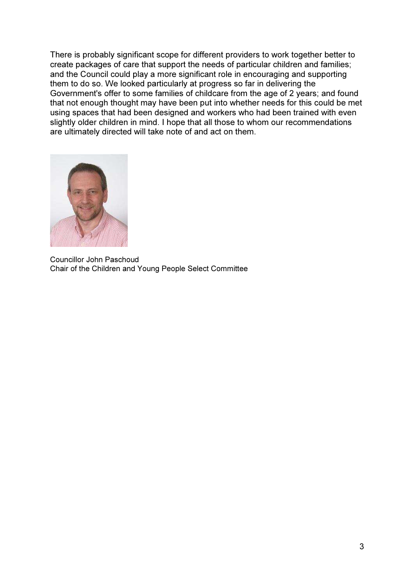There is probably significant scope for different providers to work together better to create packages of care that support the needs of particular children and families; and the Council could play a more significant role in encouraging and supporting them to do so. We looked particularly at progress so far in delivering the Government's offer to some families of childcare from the age of 2 years; and found that not enough thought may have been put into whether needs for this could be met using spaces that had been designed and workers who had been trained with even slightly older children in mind. I hope that all those to whom our recommendations are ultimately directed will take note of and act on them.



Councillor John Paschoud Chair of the Children and Young People Select Committee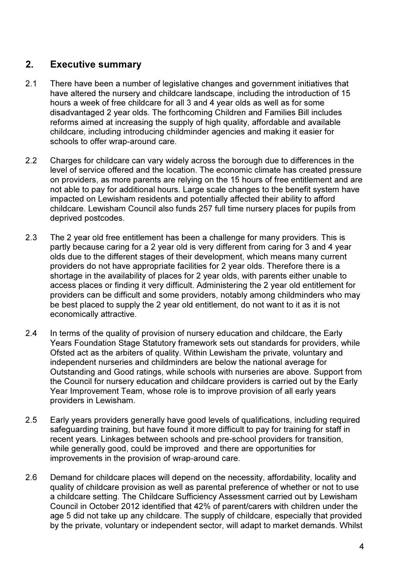## 2. Executive summary

- 2.1 There have been a number of legislative changes and government initiatives that have altered the nursery and childcare landscape, including the introduction of 15 hours a week of free childcare for all 3 and 4 year olds as well as for some disadvantaged 2 year olds. The forthcoming Children and Families Bill includes reforms aimed at increasing the supply of high quality, affordable and available childcare, including introducing childminder agencies and making it easier for schools to offer wrap-around care.
- 2.2 Charges for childcare can vary widely across the borough due to differences in the level of service offered and the location. The economic climate has created pressure on providers, as more parents are relying on the 15 hours of free entitlement and are not able to pay for additional hours. Large scale changes to the benefit system have impacted on Lewisham residents and potentially affected their ability to afford childcare. Lewisham Council also funds 257 full time nursery places for pupils from deprived postcodes.
- 2.3 The 2 year old free entitlement has been a challenge for many providers. This is partly because caring for a 2 year old is very different from caring for 3 and 4 year olds due to the different stages of their development, which means many current providers do not have appropriate facilities for 2 year olds. Therefore there is a shortage in the availability of places for 2 year olds, with parents either unable to access places or finding it very difficult. Administering the 2 year old entitlement for providers can be difficult and some providers, notably among childminders who may be best placed to supply the 2 year old entitlement, do not want to it as it is not economically attractive.
- 2.4 In terms of the quality of provision of nursery education and childcare, the Early Years Foundation Stage Statutory framework sets out standards for providers, while Ofsted act as the arbiters of quality. Within Lewisham the private, voluntary and independent nurseries and childminders are below the national average for Outstanding and Good ratings, while schools with nurseries are above. Support from the Council for nursery education and childcare providers is carried out by the Early Year Improvement Team, whose role is to improve provision of all early years providers in Lewisham.
- 2.5 Early years providers generally have good levels of qualifications, including required safeguarding training, but have found it more difficult to pay for training for staff in recent years. Linkages between schools and pre-school providers for transition, while generally good, could be improved and there are opportunities for improvements in the provision of wrap-around care.
- 2.6 Demand for childcare places will depend on the necessity, affordability, locality and quality of childcare provision as well as parental preference of whether or not to use a childcare setting. The Childcare Sufficiency Assessment carried out by Lewisham Council in October 2012 identified that 42% of parent/carers with children under the age 5 did not take up any childcare. The supply of childcare, especially that provided by the private, voluntary or independent sector, will adapt to market demands. Whilst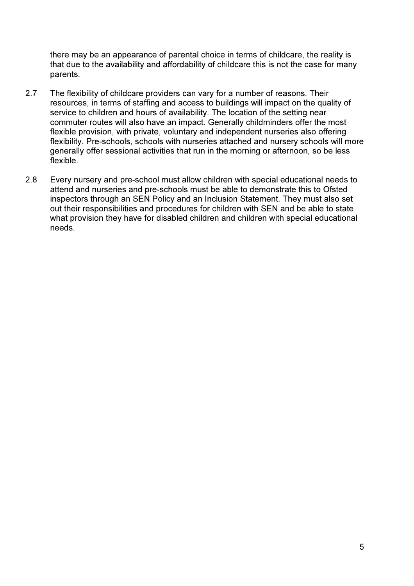there may be an appearance of parental choice in terms of childcare, the reality is that due to the availability and affordability of childcare this is not the case for many parents.

- 2.7 The flexibility of childcare providers can vary for a number of reasons. Their resources, in terms of staffing and access to buildings will impact on the quality of service to children and hours of availability. The location of the setting near commuter routes will also have an impact. Generally childminders offer the most flexible provision, with private, voluntary and independent nurseries also offering flexibility. Pre-schools, schools with nurseries attached and nursery schools will more generally offer sessional activities that run in the morning or afternoon, so be less flexible.
- 2.8 Every nursery and pre-school must allow children with special educational needs to attend and nurseries and pre-schools must be able to demonstrate this to Ofsted inspectors through an SEN Policy and an Inclusion Statement. They must also set out their responsibilities and procedures for children with SEN and be able to state what provision they have for disabled children and children with special educational needs.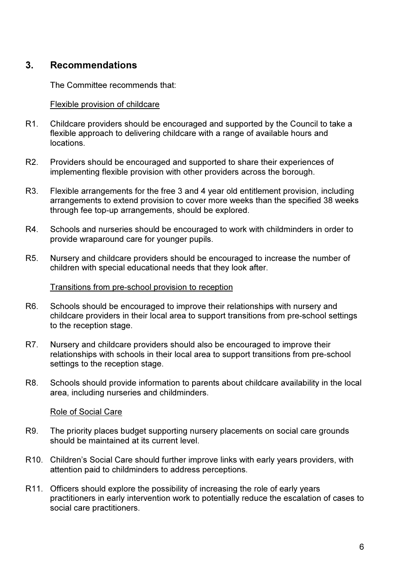## 3. Recommendations

The Committee recommends that:

#### Flexible provision of childcare

- R1. Childcare providers should be encouraged and supported by the Council to take a flexible approach to delivering childcare with a range of available hours and locations.
- R2. Providers should be encouraged and supported to share their experiences of implementing flexible provision with other providers across the borough.
- R3. Flexible arrangements for the free 3 and 4 year old entitlement provision, including arrangements to extend provision to cover more weeks than the specified 38 weeks through fee top-up arrangements, should be explored.
- R4. Schools and nurseries should be encouraged to work with childminders in order to provide wraparound care for younger pupils.
- R5. Nursery and childcare providers should be encouraged to increase the number of children with special educational needs that they look after.

#### Transitions from pre-school provision to reception

- R6. Schools should be encouraged to improve their relationships with nursery and childcare providers in their local area to support transitions from pre-school settings to the reception stage.
- R7. Nursery and childcare providers should also be encouraged to improve their relationships with schools in their local area to support transitions from pre-school settings to the reception stage.
- R8. Schools should provide information to parents about childcare availability in the local area, including nurseries and childminders.

#### Role of Social Care

- R9. The priority places budget supporting nursery placements on social care grounds should be maintained at its current level.
- R10. Children's Social Care should further improve links with early years providers, with attention paid to childminders to address perceptions.
- R11. Officers should explore the possibility of increasing the role of early years practitioners in early intervention work to potentially reduce the escalation of cases to social care practitioners.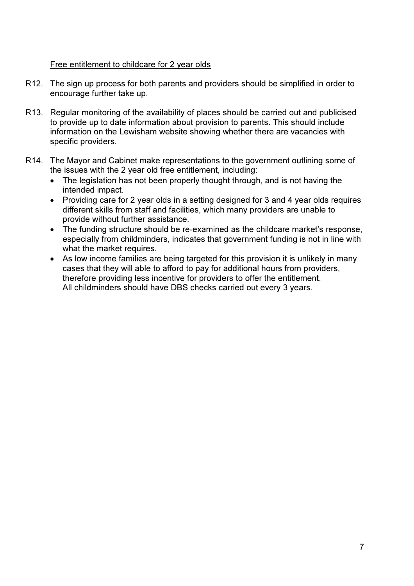#### Free entitlement to childcare for 2 year olds

- R12. The sign up process for both parents and providers should be simplified in order to encourage further take up.
- R13. Regular monitoring of the availability of places should be carried out and publicised to provide up to date information about provision to parents. This should include information on the Lewisham website showing whether there are vacancies with specific providers.
- R14. The Mayor and Cabinet make representations to the government outlining some of the issues with the 2 year old free entitlement, including:
	- The legislation has not been properly thought through, and is not having the intended impact.
	- Providing care for 2 year olds in a setting designed for 3 and 4 year olds requires different skills from staff and facilities, which many providers are unable to provide without further assistance.
	- The funding structure should be re-examined as the childcare market's response, especially from childminders, indicates that government funding is not in line with what the market requires.
	- As low income families are being targeted for this provision it is unlikely in many cases that they will able to afford to pay for additional hours from providers, therefore providing less incentive for providers to offer the entitlement. All childminders should have DBS checks carried out every 3 years.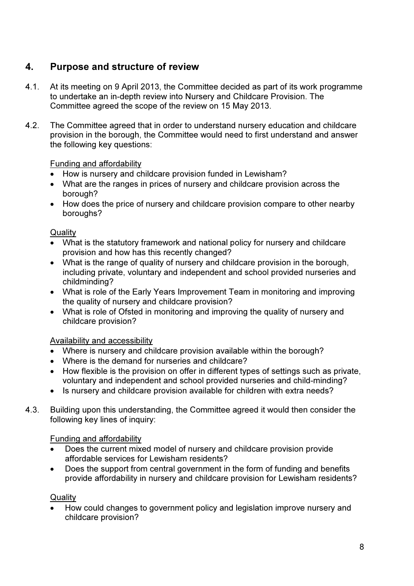## 4. Purpose and structure of review

- 4.1. At its meeting on 9 April 2013, the Committee decided as part of its work programme to undertake an in-depth review into Nursery and Childcare Provision. The Committee agreed the scope of the review on 15 May 2013.
- 4.2. The Committee agreed that in order to understand nursery education and childcare provision in the borough, the Committee would need to first understand and answer the following key questions:

## Funding and affordability

- How is nursery and childcare provision funded in Lewisham?
- What are the ranges in prices of nursery and childcare provision across the borough?
- How does the price of nursery and childcare provision compare to other nearby boroughs?

## **Quality**

- What is the statutory framework and national policy for nursery and childcare provision and how has this recently changed?
- What is the range of quality of nursery and childcare provision in the borough, including private, voluntary and independent and school provided nurseries and childminding?
- What is role of the Early Years Improvement Team in monitoring and improving the quality of nursery and childcare provision?
- What is role of Ofsted in monitoring and improving the quality of nursery and childcare provision?

## Availability and accessibility

- Where is nursery and childcare provision available within the borough?
- Where is the demand for nurseries and childcare?
- How flexible is the provision on offer in different types of settings such as private, voluntary and independent and school provided nurseries and child-minding?
- Is nursery and childcare provision available for children with extra needs?
- 4.3. Building upon this understanding, the Committee agreed it would then consider the following key lines of inquiry:

## Funding and affordability

- Does the current mixed model of nursery and childcare provision provide affordable services for Lewisham residents?
- Does the support from central government in the form of funding and benefits provide affordability in nursery and childcare provision for Lewisham residents?

## **Quality**

• How could changes to government policy and legislation improve nursery and childcare provision?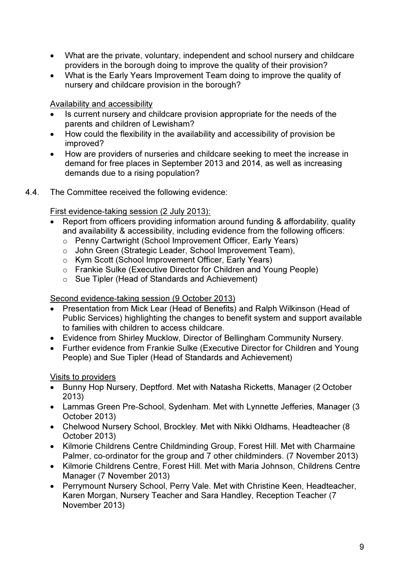- What are the private, voluntary, independent and school nursery and childcare providers in the borough doing to improve the quality of their provision?
- What is the Early Years Improvement Team doing to improve the quality of nursery and childcare provision in the borough?

Availability and accessibility

- Is current nursery and childcare provision appropriate for the needs of the parents and children of Lewisham?
- How could the flexibility in the availability and accessibility of provision be improved?
- How are providers of nurseries and childcare seeking to meet the increase in demand for free places in September 2013 and 2014, as well as increasing demands due to a rising population?
- 4.4. The Committee received the following evidence:

First evidence-taking session (2 July 2013):

- Report from officers providing information around funding & affordability, quality and availability & accessibility, including evidence from the following officers:
	- o Penny Cartwright (School Improvement Officer, Early Years)
	- o John Green (Strategic Leader, School Improvement Team),
	- o Kym Scott (School Improvement Officer, Early Years)
	- o Frankie Sulke (Executive Director for Children and Young People)
	- o Sue Tipler (Head of Standards and Achievement)

## Second evidence-taking session (9 October 2013)

- Presentation from Mick Lear (Head of Benefits) and Ralph Wilkinson (Head of Public Services) highlighting the changes to benefit system and support available to families with children to access childcare.
- Evidence from Shirley Mucklow, Director of Bellingham Community Nursery.
- Further evidence from Frankie Sulke (Executive Director for Children and Young People) and Sue Tipler (Head of Standards and Achievement)

## Visits to providers

- Bunny Hop Nursery, Deptford. Met with Natasha Ricketts, Manager (2 October 2013)
- Lammas Green Pre-School, Sydenham. Met with Lynnette Jefferies, Manager (3 October 2013)
- Chelwood Nursery School, Brockley. Met with Nikki Oldhams, Headteacher (8 October 2013)
- Kilmorie Childrens Centre Childminding Group, Forest Hill. Met with Charmaine Palmer, co-ordinator for the group and 7 other childminders. (7 November 2013)
- Kilmorie Childrens Centre, Forest Hill. Met with Maria Johnson, Childrens Centre Manager (7 November 2013)
- Perrymount Nursery School, Perry Vale. Met with Christine Keen, Headteacher, Karen Morgan, Nursery Teacher and Sara Handley, Reception Teacher (7 November 2013)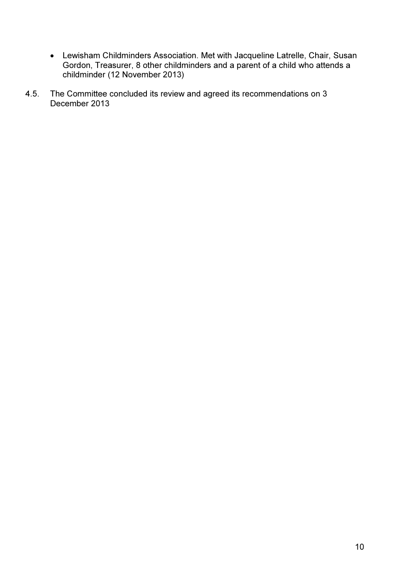- Lewisham Childminders Association. Met with Jacqueline Latrelle, Chair, Susan Gordon, Treasurer, 8 other childminders and a parent of a child who attends a childminder (12 November 2013)
- 4.5. The Committee concluded its review and agreed its recommendations on 3 December 2013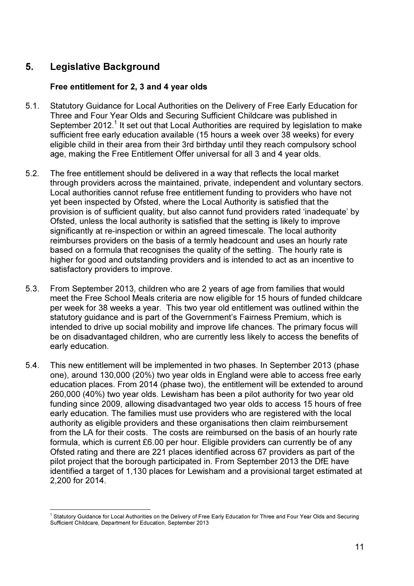## 5. Legislative Background

## Free entitlement for 2, 3 and 4 year olds

- 5.1. Statutory Guidance for Local Authorities on the Delivery of Free Early Education for Three and Four Year Olds and Securing Sufficient Childcare was published in September 2012.<sup>1</sup> It set out that Local Authorities are required by legislation to make sufficient free early education available (15 hours a week over 38 weeks) for every eligible child in their area from their 3rd birthday until they reach compulsory school age, making the Free Entitlement Offer universal for all 3 and 4 year olds.
- 5.2. The free entitlement should be delivered in a way that reflects the local market through providers across the maintained, private, independent and voluntary sectors. Local authorities cannot refuse free entitlement funding to providers who have not yet been inspected by Ofsted, where the Local Authority is satisfied that the provision is of sufficient quality, but also cannot fund providers rated 'inadequate' by Ofsted, unless the local authority is satisfied that the setting is likely to improve significantly at re-inspection or within an agreed timescale. The local authority reimburses providers on the basis of a termly headcount and uses an hourly rate based on a formula that recognises the quality of the setting. The hourly rate is higher for good and outstanding providers and is intended to act as an incentive to satisfactory providers to improve.
- 5.3. From September 2013, children who are 2 years of age from families that would meet the Free School Meals criteria are now eligible for 15 hours of funded childcare per week for 38 weeks a year. This two year old entitlement was outlined within the statutory guidance and is part of the Government's Fairness Premium, which is intended to drive up social mobility and improve life chances. The primary focus will be on disadvantaged children, who are currently less likely to access the benefits of early education.
- 5.4. This new entitlement will be implemented in two phases. In September 2013 (phase one), around 130,000 (20%) two year olds in England were able to access free early education places. From 2014 (phase two), the entitlement will be extended to around 260,000 (40%) two year olds. Lewisham has been a pilot authority for two year old funding since 2009, allowing disadvantaged two year olds to access 15 hours of free early education. The families must use providers who are registered with the local authority as eligible providers and these organisations then claim reimbursement from the LA for their costs. The costs are reimbursed on the basis of an hourly rate formula, which is current £6.00 per hour. Eligible providers can currently be of any Ofsted rating and there are 221 places identified across 67 providers as part of the pilot project that the borough participated in. From September 2013 the DfE have identified a target of 1,130 places for Lewisham and a provisional target estimated at 2,200 for 2014.

 1 Statutory Guidance for Local Authorities on the Delivery of Free Early Education for Three and Four Year Olds and Securing Sufficient Childcare, Department for Education, September 2013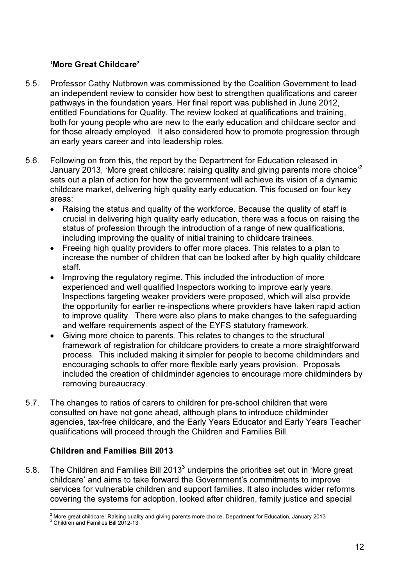## 'More Great Childcare'

- 5.5. Professor Cathy Nutbrown was commissioned by the Coalition Government to lead an independent review to consider how best to strengthen qualifications and career pathways in the foundation years. Her final report was published in June 2012, entitled Foundations for Quality. The review looked at qualifications and training, both for young people who are new to the early education and childcare sector and for those already employed. It also considered how to promote progression through an early years career and into leadership roles.
- 5.6. Following on from this, the report by the Department for Education released in January 2013, 'More great childcare: raising quality and giving parents more choice<sup>'2</sup> sets out a plan of action for how the government will achieve its vision of a dynamic childcare market, delivering high quality early education. This focused on four key areas:
	- Raising the status and quality of the workforce. Because the quality of staff is crucial in delivering high quality early education, there was a focus on raising the status of profession through the introduction of a range of new qualifications, including improving the quality of initial training to childcare trainees.
	- Freeing high quality providers to offer more places. This relates to a plan to increase the number of children that can be looked after by high quality childcare staff.
	- Improving the regulatory regime. This included the introduction of more experienced and well qualified Inspectors working to improve early years. Inspections targeting weaker providers were proposed, which will also provide the opportunity for earlier re-inspections where providers have taken rapid action to improve quality. There were also plans to make changes to the safeguarding and welfare requirements aspect of the EYFS statutory framework.
	- Giving more choice to parents. This relates to changes to the structural framework of registration for childcare providers to create a more straightforward process. This included making it simpler for people to become childminders and encouraging schools to offer more flexible early years provision. Proposals included the creation of childminder agencies to encourage more childminders by removing bureaucracy.
- 5.7. The changes to ratios of carers to children for pre-school children that were consulted on have not gone ahead, although plans to introduce childminder agencies, tax-free childcare, and the Early Years Educator and Early Years Teacher qualifications will proceed through the Children and Families Bill.

## Children and Families Bill 2013

5.8. The Children and Families Bill 2013 $^3$  underpins the priorities set out in 'More great childcare' and aims to take forward the Government's commitments to improve services for vulnerable children and support families. It also includes wider reforms covering the systems for adoption, looked after children, family justice and special

 2 More great childcare: Raising quality and giving parents more choice, Department for Education, January 2013

<sup>&</sup>lt;sup>3</sup> Children and Families Bill 2012-13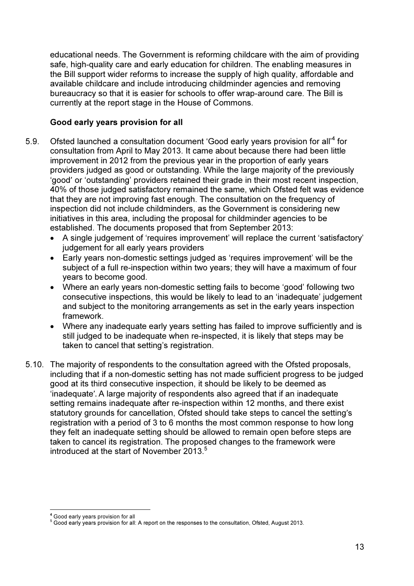educational needs. The Government is reforming childcare with the aim of providing safe, high-quality care and early education for children. The enabling measures in the Bill support wider reforms to increase the supply of high quality, affordable and available childcare and include introducing childminder agencies and removing bureaucracy so that it is easier for schools to offer wrap-around care. The Bill is currently at the report stage in the House of Commons.

## Good early years provision for all

- 5.9. Ofsted launched a consultation document 'Good early years provision for all<sup>24</sup> for consultation from April to May 2013. It came about because there had been little improvement in 2012 from the previous year in the proportion of early years providers judged as good or outstanding. While the large majority of the previously 'good' or 'outstanding' providers retained their grade in their most recent inspection, 40% of those judged satisfactory remained the same, which Ofsted felt was evidence that they are not improving fast enough. The consultation on the frequency of inspection did not include childminders, as the Government is considering new initiatives in this area, including the proposal for childminder agencies to be established. The documents proposed that from September 2013:
	- A single judgement of 'requires improvement' will replace the current 'satisfactory' judgement for all early years providers
	- Early years non-domestic settings judged as 'requires improvement' will be the subject of a full re-inspection within two years; they will have a maximum of four years to become good.
	- Where an early years non-domestic setting fails to become 'good' following two consecutive inspections, this would be likely to lead to an 'inadequate' judgement and subject to the monitoring arrangements as set in the early years inspection framework.
	- Where any inadequate early years setting has failed to improve sufficiently and is still judged to be inadequate when re-inspected, it is likely that steps may be taken to cancel that setting's registration.
- 5.10. The majority of respondents to the consultation agreed with the Ofsted proposals, including that if a non-domestic setting has not made sufficient progress to be judged good at its third consecutive inspection, it should be likely to be deemed as 'inadequate'. A large majority of respondents also agreed that if an inadequate setting remains inadequate after re-inspection within 12 months, and there exist statutory grounds for cancellation, Ofsted should take steps to cancel the setting's registration with a period of 3 to 6 months the most common response to how long they felt an inadequate setting should be allowed to remain open before steps are taken to cancel its registration. The proposed changes to the framework were introduced at the start of November 2013.<sup>5</sup>

 $\overline{a}$ <sup>4</sup> Good early years provision for all

 $<sup>5</sup>$  Good early years provision for all: A report on the responses to the consultation, Ofsted, August 2013.</sup>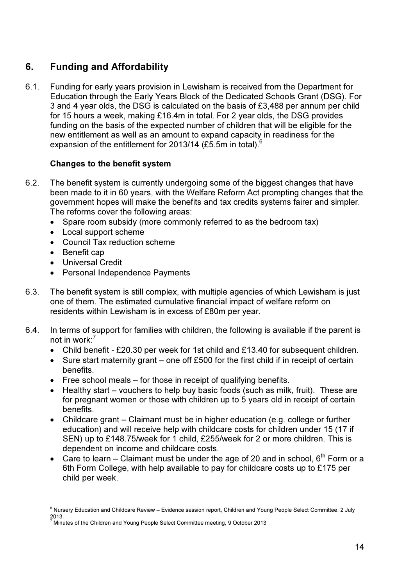## 6. Funding and Affordability

6.1. Funding for early years provision in Lewisham is received from the Department for Education through the Early Years Block of the Dedicated Schools Grant (DSG). For 3 and 4 year olds, the DSG is calculated on the basis of £3,488 per annum per child for 15 hours a week, making £16.4m in total. For 2 year olds, the DSG provides funding on the basis of the expected number of children that will be eligible for the new entitlement as well as an amount to expand capacity in readiness for the expansion of the entitlement for 2013/14 (£5.5m in total).<sup>6</sup>

## Changes to the benefit system

- 6.2. The benefit system is currently undergoing some of the biggest changes that have been made to it in 60 years, with the Welfare Reform Act prompting changes that the government hopes will make the benefits and tax credits systems fairer and simpler. The reforms cover the following areas:
	- Spare room subsidy (more commonly referred to as the bedroom tax)
	- Local support scheme
	- Council Tax reduction scheme
	- Benefit cap
	- Universal Credit
	- Personal Independence Payments
- 6.3. The benefit system is still complex, with multiple agencies of which Lewisham is just one of them. The estimated cumulative financial impact of welfare reform on residents within Lewisham is in excess of £80m per year.
- 6.4. In terms of support for families with children, the following is available if the parent is not in work:<sup>7</sup>
	- Child benefit £20.30 per week for 1st child and £13.40 for subsequent children.
	- Sure start maternity grant one off £500 for the first child if in receipt of certain benefits.
	- Free school meals for those in receipt of qualifying benefits.
	- Healthy start vouchers to help buy basic foods (such as milk, fruit). These are for pregnant women or those with children up to 5 years old in receipt of certain benefits.
	- Childcare grant Claimant must be in higher education (e.g. college or further education) and will receive help with childcare costs for children under 15 (17 if SEN) up to £148.75/week for 1 child, £255/week for 2 or more children. This is dependent on income and childcare costs.
	- Care to learn Claimant must be under the age of 20 and in school,  $6<sup>th</sup>$  Form or a 6th Form College, with help available to pay for childcare costs up to £175 per child per week.

 6 Nursery Education and Childcare Review – Evidence session report, Children and Young People Select Committee, 2 July 2013. 7

Minutes of the Children and Young People Select Committee meeting, 9 October 2013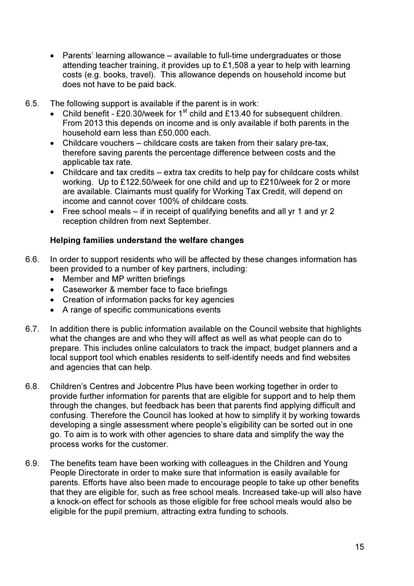- Parents' learning allowance available to full-time undergraduates or those attending teacher training, it provides up to £1,508 a year to help with learning costs (e.g. books, travel). This allowance depends on household income but does not have to be paid back.
- 6.5. The following support is available if the parent is in work:
	- Child benefit £20.30/week for  $1<sup>st</sup>$  child and £13.40 for subsequent children. From 2013 this depends on income and is only available if both parents in the household earn less than £50,000 each.
	- Childcare vouchers childcare costs are taken from their salary pre-tax, therefore saving parents the percentage difference between costs and the applicable tax rate.
	- Childcare and tax credits extra tax credits to help pay for childcare costs whilst working. Up to £122.50/week for one child and up to £210/week for 2 or more are available. Claimants must qualify for Working Tax Credit, will depend on income and cannot cover 100% of childcare costs.
	- Free school meals  $-$  if in receipt of qualifying benefits and all yr 1 and yr 2 reception children from next September.

## Helping families understand the welfare changes

- 6.6. In order to support residents who will be affected by these changes information has been provided to a number of key partners, including:
	- Member and MP written briefings
	- Caseworker & member face to face briefings
	- Creation of information packs for key agencies
	- A range of specific communications events
- 6.7. In addition there is public information available on the Council website that highlights what the changes are and who they will affect as well as what people can do to prepare. This includes online calculators to track the impact, budget planners and a local support tool which enables residents to self-identify needs and find websites and agencies that can help.
- 6.8. Children's Centres and Jobcentre Plus have been working together in order to provide further information for parents that are eligible for support and to help them through the changes, but feedback has been that parents find applying difficult and confusing. Therefore the Council has looked at how to simplify it by working towards developing a single assessment where people's eligibility can be sorted out in one go. To aim is to work with other agencies to share data and simplify the way the process works for the customer.
- 6.9. The benefits team have been working with colleagues in the Children and Young People Directorate in order to make sure that information is easily available for parents. Efforts have also been made to encourage people to take up other benefits that they are eligible for, such as free school meals. Increased take-up will also have a knock-on effect for schools as those eligible for free school meals would also be eligible for the pupil premium, attracting extra funding to schools.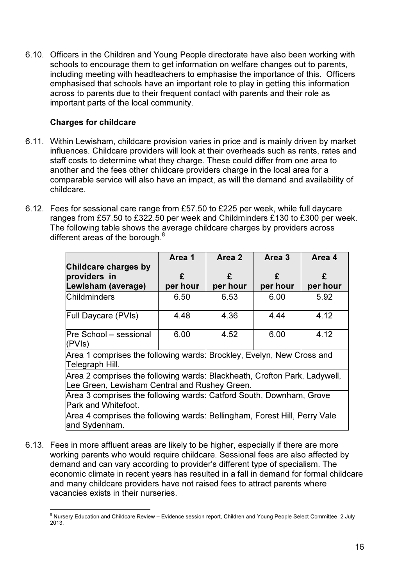6.10. Officers in the Children and Young People directorate have also been working with schools to encourage them to get information on welfare changes out to parents, including meeting with headteachers to emphasise the importance of this. Officers emphasised that schools have an important role to play in getting this information across to parents due to their frequent contact with parents and their role as important parts of the local community.

## Charges for childcare

- 6.11. Within Lewisham, childcare provision varies in price and is mainly driven by market influences. Childcare providers will look at their overheads such as rents, rates and staff costs to determine what they charge. These could differ from one area to another and the fees other childcare providers charge in the local area for a comparable service will also have an impact, as will the demand and availability of childcare.
- 6.12. Fees for sessional care range from £57.50 to £225 per week, while full daycare ranges from £57.50 to £322.50 per week and Childminders £130 to £300 per week. The following table shows the average childcare charges by providers across different areas of the borough. $8$

|                                                                                                                            | Area 1   | Area 2   | Area 3   | Area 4   |  |
|----------------------------------------------------------------------------------------------------------------------------|----------|----------|----------|----------|--|
| Childcare charges by                                                                                                       |          |          |          |          |  |
| providers in                                                                                                               | £        | £        | £        | £        |  |
| Lewisham (average)                                                                                                         | per hour | per hour | per hour | per hour |  |
| <b>Childminders</b>                                                                                                        | 6.50     | 6.53     | 6.00     | 5.92     |  |
| <b>Full Daycare (PVIs)</b>                                                                                                 | 4.48     | 4.36     | 4.44     | 4.12     |  |
| Pre School - sessional<br>(PVIs)                                                                                           | 6.00     | 4.52     | 6.00     | 4.12     |  |
| Area 1 comprises the following wards: Brockley, Evelyn, New Cross and<br>Telegraph Hill.                                   |          |          |          |          |  |
| Area 2 comprises the following wards: Blackheath, Crofton Park, Ladywell,<br>Lee Green, Lewisham Central and Rushey Green. |          |          |          |          |  |
| Area 3 comprises the following wards: Catford South, Downham, Grove<br>Park and Whitefoot.                                 |          |          |          |          |  |
| Area 4 comprises the following wards: Bellingham, Forest Hill, Perry Vale<br>and Sydenham.                                 |          |          |          |          |  |

6.13. Fees in more affluent areas are likely to be higher, especially if there are more working parents who would require childcare. Sessional fees are also affected by demand and can vary according to provider's different type of specialism. The economic climate in recent years has resulted in a fall in demand for formal childcare and many childcare providers have not raised fees to attract parents where vacancies exists in their nurseries.

<sup>&</sup>lt;u>。</u><br>8 Nursery Education and Childcare Review – Evidence session report, Children and Young People Select Committee, 2 July 2013.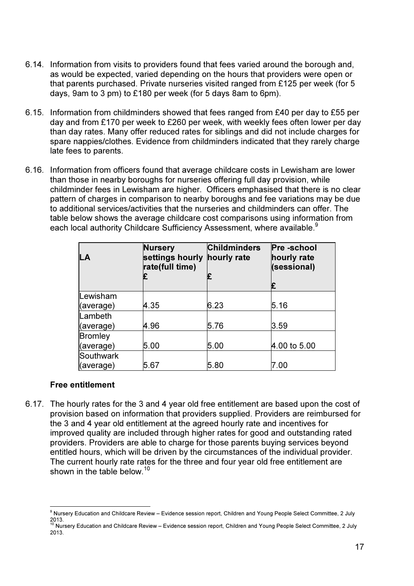- 6.14. Information from visits to providers found that fees varied around the borough and, as would be expected, varied depending on the hours that providers were open or that parents purchased. Private nurseries visited ranged from £125 per week (for 5 days, 9am to 3 pm) to £180 per week (for 5 days 8am to 6pm).
- 6.15. Information from childminders showed that fees ranged from £40 per day to £55 per day and from £170 per week to £260 per week, with weekly fees often lower per day than day rates. Many offer reduced rates for siblings and did not include charges for spare nappies/clothes. Evidence from childminders indicated that they rarely charge late fees to parents.
- 6.16. Information from officers found that average childcare costs in Lewisham are lower than those in nearby boroughs for nurseries offering full day provision, while childminder fees in Lewisham are higher. Officers emphasised that there is no clear pattern of charges in comparison to nearby boroughs and fee variations may be due to additional services/activities that the nurseries and childminders can offer. The table below shows the average childcare cost comparisons using information from each local authority Childcare Sufficiency Assessment, where available.<sup>9</sup>

| LA             | <b>Nursery</b><br>settings hourly<br>rate(full time)<br>£ | <b>Childminders</b><br>hourly rate<br>£ | Pre-school<br>hourly rate<br>(sessional)<br>£ |
|----------------|-----------------------------------------------------------|-----------------------------------------|-----------------------------------------------|
| Lewisham       |                                                           |                                         |                                               |
| (average)      | 4.35                                                      | 6.23                                    | 5.16                                          |
| Lambeth        |                                                           |                                         |                                               |
| (average)      | 4.96                                                      | 5.76                                    | 3.59                                          |
| <b>Bromley</b> |                                                           |                                         |                                               |
| (average)      | 5.00                                                      | 5.00                                    | 4.00 to 5.00                                  |
| Southwark      |                                                           |                                         |                                               |
| (average)      | 5.67                                                      | 5.80                                    | 7.00                                          |

## Free entitlement

6.17. The hourly rates for the 3 and 4 year old free entitlement are based upon the cost of provision based on information that providers supplied. Providers are reimbursed for the 3 and 4 year old entitlement at the agreed hourly rate and incentives for improved quality are included through higher rates for good and outstanding rated providers. Providers are able to charge for those parents buying services beyond entitled hours, which will be driven by the circumstances of the individual provider. The current hourly rate rates for the three and four year old free entitlement are shown in the table below.<sup>10</sup>

 9 Nursery Education and Childcare Review – Evidence session report, Children and Young People Select Committee, 2 July 2013.<br><sup>10</sup> Nursery Education and Childcare Review – Evidence session report, Children and Young People Select Committee, 2 July

<sup>2013.</sup>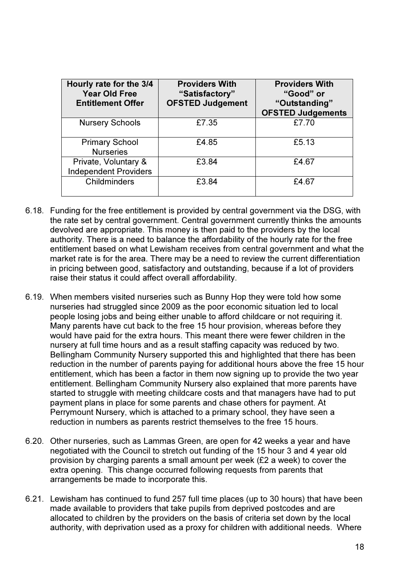| Hourly rate for the 3/4<br><b>Year Old Free</b><br><b>Entitlement Offer</b> | <b>Providers With</b><br>"Satisfactory"<br><b>OFSTED Judgement</b> | <b>Providers With</b><br>"Good" or<br>"Outstanding"<br><b>OFSTED Judgements</b> |
|-----------------------------------------------------------------------------|--------------------------------------------------------------------|---------------------------------------------------------------------------------|
| <b>Nursery Schools</b>                                                      | £7.35                                                              | £7.70                                                                           |
| <b>Primary School</b><br><b>Nurseries</b>                                   | £4.85                                                              | £5.13                                                                           |
| Private, Voluntary &<br><b>Independent Providers</b>                        | £3.84                                                              | £4.67                                                                           |
| <b>Childminders</b>                                                         | £3.84                                                              | £4.67                                                                           |

- 6.18. Funding for the free entitlement is provided by central government via the DSG, with the rate set by central government. Central government currently thinks the amounts devolved are appropriate. This money is then paid to the providers by the local authority. There is a need to balance the affordability of the hourly rate for the free entitlement based on what Lewisham receives from central government and what the market rate is for the area. There may be a need to review the current differentiation in pricing between good, satisfactory and outstanding, because if a lot of providers raise their status it could affect overall affordability.
- 6.19. When members visited nurseries such as Bunny Hop they were told how some nurseries had struggled since 2009 as the poor economic situation led to local people losing jobs and being either unable to afford childcare or not requiring it. Many parents have cut back to the free 15 hour provision, whereas before they would have paid for the extra hours. This meant there were fewer children in the nursery at full time hours and as a result staffing capacity was reduced by two. Bellingham Community Nursery supported this and highlighted that there has been reduction in the number of parents paying for additional hours above the free 15 hour entitlement, which has been a factor in them now signing up to provide the two year entitlement. Bellingham Community Nursery also explained that more parents have started to struggle with meeting childcare costs and that managers have had to put payment plans in place for some parents and chase others for payment. At Perrymount Nursery, which is attached to a primary school, they have seen a reduction in numbers as parents restrict themselves to the free 15 hours.
- 6.20. Other nurseries, such as Lammas Green, are open for 42 weeks a year and have negotiated with the Council to stretch out funding of the 15 hour 3 and 4 year old provision by charging parents a small amount per week (£2 a week) to cover the extra opening. This change occurred following requests from parents that arrangements be made to incorporate this.
- 6.21. Lewisham has continued to fund 257 full time places (up to 30 hours) that have been made available to providers that take pupils from deprived postcodes and are allocated to children by the providers on the basis of criteria set down by the local authority, with deprivation used as a proxy for children with additional needs. Where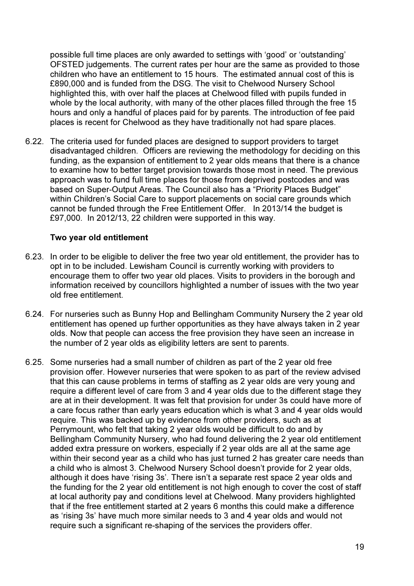possible full time places are only awarded to settings with 'good' or 'outstanding' OFSTED judgements. The current rates per hour are the same as provided to those children who have an entitlement to 15 hours. The estimated annual cost of this is £890,000 and is funded from the DSG. The visit to Chelwood Nursery School highlighted this, with over half the places at Chelwood filled with pupils funded in whole by the local authority, with many of the other places filled through the free 15 hours and only a handful of places paid for by parents. The introduction of fee paid places is recent for Chelwood as they have traditionally not had spare places.

6.22. The criteria used for funded places are designed to support providers to target disadvantaged children. Officers are reviewing the methodology for deciding on this funding, as the expansion of entitlement to 2 year olds means that there is a chance to examine how to better target provision towards those most in need. The previous approach was to fund full time places for those from deprived postcodes and was based on Super-Output Areas. The Council also has a "Priority Places Budget" within Children's Social Care to support placements on social care grounds which cannot be funded through the Free Entitlement Offer. In 2013/14 the budget is £97,000. In 2012/13, 22 children were supported in this way.

## Two year old entitlement

- 6.23. In order to be eligible to deliver the free two year old entitlement, the provider has to opt in to be included. Lewisham Council is currently working with providers to encourage them to offer two year old places. Visits to providers in the borough and information received by councillors highlighted a number of issues with the two year old free entitlement.
- 6.24. For nurseries such as Bunny Hop and Bellingham Community Nursery the 2 year old entitlement has opened up further opportunities as they have always taken in 2 year olds. Now that people can access the free provision they have seen an increase in the number of 2 year olds as eligibility letters are sent to parents.
- 6.25. Some nurseries had a small number of children as part of the 2 year old free provision offer. However nurseries that were spoken to as part of the review advised that this can cause problems in terms of staffing as 2 year olds are very young and require a different level of care from 3 and 4 year olds due to the different stage they are at in their development. It was felt that provision for under 3s could have more of a care focus rather than early years education which is what 3 and 4 year olds would require. This was backed up by evidence from other providers, such as at Perrymount, who felt that taking 2 year olds would be difficult to do and by Bellingham Community Nursery, who had found delivering the 2 year old entitlement added extra pressure on workers, especially if 2 year olds are all at the same age within their second year as a child who has just turned 2 has greater care needs than a child who is almost 3. Chelwood Nursery School doesn't provide for 2 year olds, although it does have 'rising 3s'. There isn't a separate rest space 2 year olds and the funding for the 2 year old entitlement is not high enough to cover the cost of staff at local authority pay and conditions level at Chelwood. Many providers highlighted that if the free entitlement started at 2 years 6 months this could make a difference as 'rising 3s' have much more similar needs to 3 and 4 year olds and would not require such a significant re-shaping of the services the providers offer.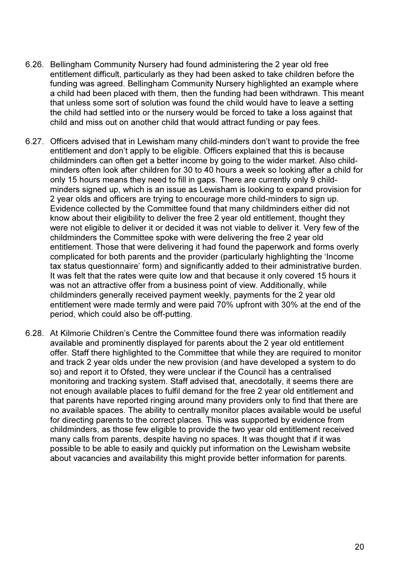- 6.26. Bellingham Community Nursery had found administering the 2 year old free entitlement difficult, particularly as they had been asked to take children before the funding was agreed. Bellingham Community Nursery highlighted an example where a child had been placed with them, then the funding had been withdrawn. This meant that unless some sort of solution was found the child would have to leave a setting the child had settled into or the nursery would be forced to take a loss against that child and miss out on another child that would attract funding or pay fees.
- 6.27. Officers advised that in Lewisham many child-minders don't want to provide the free entitlement and don't apply to be eligible. Officers explained that this is because childminders can often get a better income by going to the wider market. Also childminders often look after children for 30 to 40 hours a week so looking after a child for only 15 hours means they need to fill in gaps. There are currently only 9 childminders signed up, which is an issue as Lewisham is looking to expand provision for 2 year olds and officers are trying to encourage more child-minders to sign up. Evidence collected by the Committee found that many childminders either did not know about their eligibility to deliver the free 2 year old entitlement, thought they were not eligible to deliver it or decided it was not viable to deliver it. Very few of the childminders the Committee spoke with were delivering the free 2 year old entitlement. Those that were delivering it had found the paperwork and forms overly complicated for both parents and the provider (particularly highlighting the 'Income tax status questionnaire' form) and significantly added to their administrative burden. It was felt that the rates were quite low and that because it only covered 15 hours it was not an attractive offer from a business point of view. Additionally, while childminders generally received payment weekly, payments for the 2 year old entitlement were made termly and were paid 70% upfront with 30% at the end of the period, which could also be off-putting.
- 6.28. At Kilmorie Children's Centre the Committee found there was information readily available and prominently displayed for parents about the 2 year old entitlement offer. Staff there highlighted to the Committee that while they are required to monitor and track 2 year olds under the new provision (and have developed a system to do so) and report it to Ofsted, they were unclear if the Council has a centralised monitoring and tracking system. Staff advised that, anecdotally, it seems there are not enough available places to fulfil demand for the free 2 year old entitlement and that parents have reported ringing around many providers only to find that there are no available spaces. The ability to centrally monitor places available would be useful for directing parents to the correct places. This was supported by evidence from childminders, as those few eligible to provide the two year old entitlement received many calls from parents, despite having no spaces. It was thought that if it was possible to be able to easily and quickly put information on the Lewisham website about vacancies and availability this might provide better information for parents.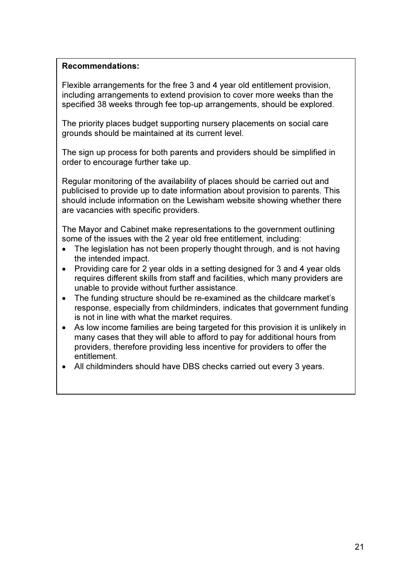#### Recommendations:

Flexible arrangements for the free 3 and 4 year old entitlement provision, including arrangements to extend provision to cover more weeks than the specified 38 weeks through fee top-up arrangements, should be explored.

The priority places budget supporting nursery placements on social care grounds should be maintained at its current level.

The sign up process for both parents and providers should be simplified in order to encourage further take up.

Regular monitoring of the availability of places should be carried out and publicised to provide up to date information about provision to parents. This should include information on the Lewisham website showing whether there are vacancies with specific providers.

The Mayor and Cabinet make representations to the government outlining some of the issues with the 2 year old free entitlement, including:

- The legislation has not been properly thought through, and is not having the intended impact.
- Providing care for 2 year olds in a setting designed for 3 and 4 year olds requires different skills from staff and facilities, which many providers are unable to provide without further assistance.
- The funding structure should be re-examined as the childcare market's response, especially from childminders, indicates that government funding is not in line with what the market requires.
- As low income families are being targeted for this provision it is unlikely in many cases that they will able to afford to pay for additional hours from providers, therefore providing less incentive for providers to offer the entitlement.
- All childminders should have DBS checks carried out every 3 years.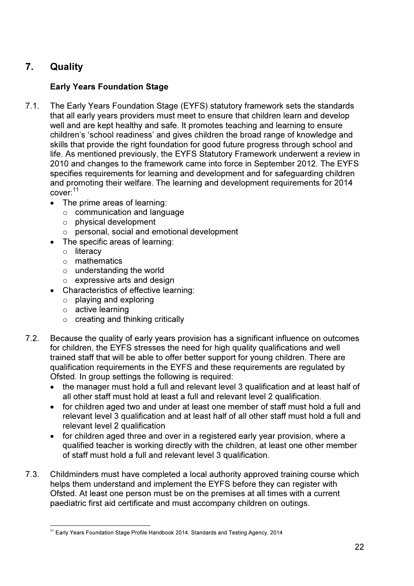## 7. Quality

## Early Years Foundation Stage

- 7.1. The Early Years Foundation Stage (EYFS) statutory framework sets the standards that all early years providers must meet to ensure that children learn and develop well and are kept healthy and safe. It promotes teaching and learning to ensure children's 'school readiness' and gives children the broad range of knowledge and skills that provide the right foundation for good future progress through school and life. As mentioned previously, the EYFS Statutory Framework underwent a review in 2010 and changes to the framework came into force in September 2012. The EYFS specifies requirements for learning and development and for safeguarding children and promoting their welfare. The learning and development requirements for 2014  $cover: ^{11}$ 
	- The prime areas of learning:
		- $\circ$  communication and language
		- o physical development
		- o personal, social and emotional development
	- The specific areas of learning:
		- o literacy
		- o mathematics
		- o understanding the world
		- o expressive arts and design
	- Characteristics of effective learning:
		- o playing and exploring
		- o active learning
		- $\circ$  creating and thinking critically
- 7.2. Because the quality of early years provision has a significant influence on outcomes for children, the EYFS stresses the need for high quality qualifications and well trained staff that will be able to offer better support for young children. There are qualification requirements in the EYFS and these requirements are regulated by Ofsted. In group settings the following is required:
	- the manager must hold a full and relevant level 3 qualification and at least half of all other staff must hold at least a full and relevant level 2 qualification.
	- for children aged two and under at least one member of staff must hold a full and relevant level 3 qualification and at least half of all other staff must hold a full and relevant level 2 qualification
	- for children aged three and over in a registered early year provision, where a qualified teacher is working directly with the children, at least one other member of staff must hold a full and relevant level 3 qualification.
- 7.3. Childminders must have completed a local authority approved training course which helps them understand and implement the EYFS before they can register with Ofsted. At least one person must be on the premises at all times with a current paediatric first aid certificate and must accompany children on outings.

 $\overline{1}$ <sup>11</sup> Early Years Foundation Stage Profile Handbook 2014, Standards and Testing Agency, 2014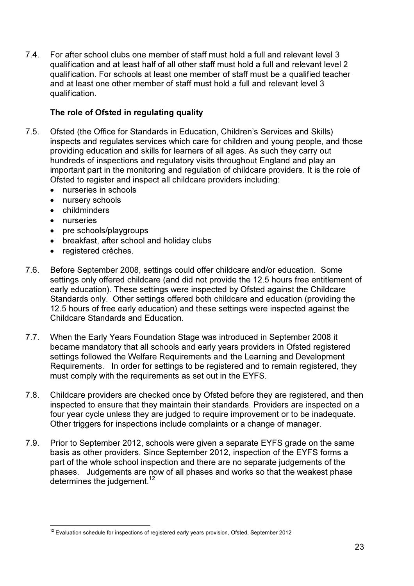7.4. For after school clubs one member of staff must hold a full and relevant level 3 qualification and at least half of all other staff must hold a full and relevant level 2 qualification. For schools at least one member of staff must be a qualified teacher and at least one other member of staff must hold a full and relevant level 3 qualification.

## The role of Ofsted in regulating quality

- 7.5. Ofsted (the Office for Standards in Education, Children's Services and Skills) inspects and regulates services which care for children and young people, and those providing education and skills for learners of all ages. As such they carry out hundreds of inspections and regulatory visits throughout England and play an important part in the monitoring and regulation of childcare providers. It is the role of Ofsted to register and inspect all childcare providers including:
	- nurseries in schools
	- nursery schools
	- childminders
	- nurseries
	- pre schools/playgroups
	- breakfast, after school and holiday clubs
	- registered crèches.
- 7.6. Before September 2008, settings could offer childcare and/or education. Some settings only offered childcare (and did not provide the 12.5 hours free entitlement of early education). These settings were inspected by Ofsted against the Childcare Standards only. Other settings offered both childcare and education (providing the 12.5 hours of free early education) and these settings were inspected against the Childcare Standards and Education.
- 7.7. When the Early Years Foundation Stage was introduced in September 2008 it became mandatory that all schools and early years providers in Ofsted registered settings followed the Welfare Requirements and the Learning and Development Requirements. In order for settings to be registered and to remain registered, they must comply with the requirements as set out in the EYFS.
- 7.8. Childcare providers are checked once by Ofsted before they are registered, and then inspected to ensure that they maintain their standards. Providers are inspected on a four year cycle unless they are judged to require improvement or to be inadequate. Other triggers for inspections include complaints or a change of manager.
- 7.9. Prior to September 2012, schools were given a separate EYFS grade on the same basis as other providers. Since September 2012, inspection of the EYFS forms a part of the whole school inspection and there are no separate judgements of the phases. Judgements are now of all phases and works so that the weakest phase determines the judgement. $12$

 $\overline{1}$ <sup>12</sup> Evaluation schedule for inspections of registered early years provision, Ofsted, September 2012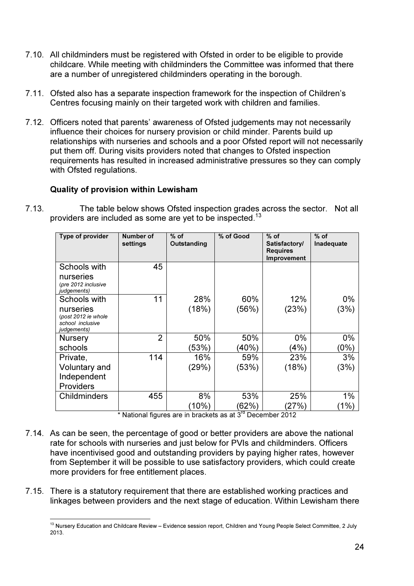- 7.10. All childminders must be registered with Ofsted in order to be eligible to provide childcare. While meeting with childminders the Committee was informed that there are a number of unregistered childminders operating in the borough.
- 7.11. Ofsted also has a separate inspection framework for the inspection of Children's Centres focusing mainly on their targeted work with children and families.
- 7.12. Officers noted that parents' awareness of Ofsted judgements may not necessarily influence their choices for nursery provision or child minder. Parents build up relationships with nurseries and schools and a poor Ofsted report will not necessarily put them off. During visits providers noted that changes to Ofsted inspection requirements has resulted in increased administrative pressures so they can comply with Ofsted regulations.

## Quality of provision within Lewisham

7.13. The table below shows Ofsted inspection grades across the sector. Not all providers are included as some are yet to be inspected.<sup>13</sup>

| Type of provider                                                    | Number of<br>settings | $%$ of<br>Outstanding | % of Good    | $%$ of<br>Satisfactory/<br><b>Requires</b><br>Improvement | $%$ of<br>Inadequate |
|---------------------------------------------------------------------|-----------------------|-----------------------|--------------|-----------------------------------------------------------|----------------------|
| Schools with<br>nurseries<br>(pre 2012 inclusive<br>judgements)     | 45                    |                       |              |                                                           |                      |
| Schools with                                                        | 11                    | 28%                   | 60%          | 12%                                                       | 0%                   |
| nurseries<br>(post 2012 ie whole<br>school inclusive<br>judgements) |                       | (18%)                 | (56%)        | (23%)                                                     | (3%)                 |
| <b>Nursery</b>                                                      | $\overline{2}$        | 50%                   | 50%          | $0\%$                                                     | 0%                   |
| schools                                                             |                       | (53%)                 | (40%)        | (4%)                                                      | $(0\%)$              |
| Private,                                                            | 114                   | 16%                   | 59%          | 23%                                                       | 3%                   |
| Voluntary and                                                       |                       | (29%)                 | (53%)        | (18%)                                                     | (3%)                 |
| Independent                                                         |                       |                       |              |                                                           |                      |
| Providers                                                           |                       |                       |              |                                                           |                      |
| <b>Childminders</b>                                                 | 455                   | 8%                    | 53%          | 25%                                                       | 1%                   |
|                                                                     |                       | (10%)                 | (62%)<br>n – | (27%)                                                     | (1%)                 |

\* National figures are in brackets as at 3rd December 2012

- 7.14. As can be seen, the percentage of good or better providers are above the national rate for schools with nurseries and just below for PVIs and childminders. Officers have incentivised good and outstanding providers by paying higher rates, however from September it will be possible to use satisfactory providers, which could create more providers for free entitlement places.
- 7.15. There is a statutory requirement that there are established working practices and linkages between providers and the next stage of education. Within Lewisham there

 $\overline{a}$ <sup>13</sup> Nursery Education and Childcare Review – Evidence session report, Children and Young People Select Committee, 2 July 2013.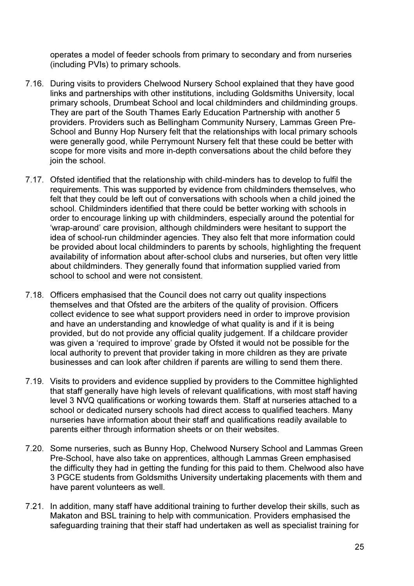operates a model of feeder schools from primary to secondary and from nurseries (including PVIs) to primary schools.

- 7.16. During visits to providers Chelwood Nursery School explained that they have good links and partnerships with other institutions, including Goldsmiths University, local primary schools, Drumbeat School and local childminders and childminding groups. They are part of the South Thames Early Education Partnership with another 5 providers. Providers such as Bellingham Community Nursery, Lammas Green Pre-School and Bunny Hop Nursery felt that the relationships with local primary schools were generally good, while Perrymount Nursery felt that these could be better with scope for more visits and more in-depth conversations about the child before they join the school.
- 7.17. Ofsted identified that the relationship with child-minders has to develop to fulfil the requirements. This was supported by evidence from childminders themselves, who felt that they could be left out of conversations with schools when a child joined the school. Childminders identified that there could be better working with schools in order to encourage linking up with childminders, especially around the potential for 'wrap-around' care provision, although childminders were hesitant to support the idea of school-run childminder agencies. They also felt that more information could be provided about local childminders to parents by schools, highlighting the frequent availability of information about after-school clubs and nurseries, but often very little about childminders. They generally found that information supplied varied from school to school and were not consistent.
- 7.18. Officers emphasised that the Council does not carry out quality inspections themselves and that Ofsted are the arbiters of the quality of provision. Officers collect evidence to see what support providers need in order to improve provision and have an understanding and knowledge of what quality is and if it is being provided, but do not provide any official quality judgement. If a childcare provider was given a 'required to improve' grade by Ofsted it would not be possible for the local authority to prevent that provider taking in more children as they are private businesses and can look after children if parents are willing to send them there.
- 7.19. Visits to providers and evidence supplied by providers to the Committee highlighted that staff generally have high levels of relevant qualifications, with most staff having level 3 NVQ qualifications or working towards them. Staff at nurseries attached to a school or dedicated nursery schools had direct access to qualified teachers. Many nurseries have information about their staff and qualifications readily available to parents either through information sheets or on their websites.
- 7.20. Some nurseries, such as Bunny Hop, Chelwood Nursery School and Lammas Green Pre-School, have also take on apprentices, although Lammas Green emphasised the difficulty they had in getting the funding for this paid to them. Chelwood also have 3 PGCE students from Goldsmiths University undertaking placements with them and have parent volunteers as well.
- 7.21. In addition, many staff have additional training to further develop their skills, such as Makaton and BSL training to help with communication. Providers emphasised the safeguarding training that their staff had undertaken as well as specialist training for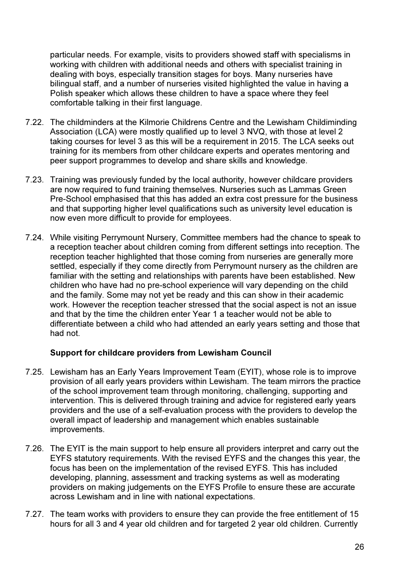particular needs. For example, visits to providers showed staff with specialisms in working with children with additional needs and others with specialist training in dealing with boys, especially transition stages for boys. Many nurseries have bilingual staff, and a number of nurseries visited highlighted the value in having a Polish speaker which allows these children to have a space where they feel comfortable talking in their first language.

- 7.22. The childminders at the Kilmorie Childrens Centre and the Lewisham Childiminding Association (LCA) were mostly qualified up to level 3 NVQ, with those at level 2 taking courses for level 3 as this will be a requirement in 2015. The LCA seeks out training for its members from other childcare experts and operates mentoring and peer support programmes to develop and share skills and knowledge.
- 7.23. Training was previously funded by the local authority, however childcare providers are now required to fund training themselves. Nurseries such as Lammas Green Pre-School emphasised that this has added an extra cost pressure for the business and that supporting higher level qualifications such as university level education is now even more difficult to provide for employees.
- 7.24. While visiting Perrymount Nursery, Committee members had the chance to speak to a reception teacher about children coming from different settings into reception. The reception teacher highlighted that those coming from nurseries are generally more settled, especially if they come directly from Perrymount nursery as the children are familiar with the setting and relationships with parents have been established. New children who have had no pre-school experience will vary depending on the child and the family. Some may not yet be ready and this can show in their academic work. However the reception teacher stressed that the social aspect is not an issue and that by the time the children enter Year 1 a teacher would not be able to differentiate between a child who had attended an early years setting and those that had not.

#### Support for childcare providers from Lewisham Council

- 7.25. Lewisham has an Early Years Improvement Team (EYIT), whose role is to improve provision of all early years providers within Lewisham. The team mirrors the practice of the school improvement team through monitoring, challenging, supporting and intervention. This is delivered through training and advice for registered early vears providers and the use of a self-evaluation process with the providers to develop the overall impact of leadership and management which enables sustainable improvements.
- 7.26. The EYIT is the main support to help ensure all providers interpret and carry out the EYFS statutory requirements. With the revised EYFS and the changes this year, the focus has been on the implementation of the revised EYFS. This has included developing, planning, assessment and tracking systems as well as moderating providers on making judgements on the EYFS Profile to ensure these are accurate across Lewisham and in line with national expectations.
- 7.27. The team works with providers to ensure they can provide the free entitlement of 15 hours for all 3 and 4 year old children and for targeted 2 year old children. Currently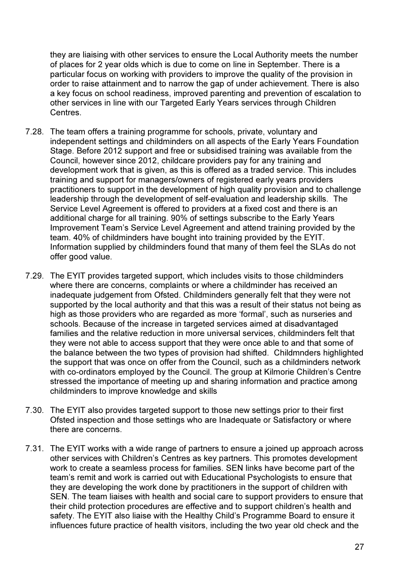they are liaising with other services to ensure the Local Authority meets the number of places for 2 year olds which is due to come on line in September. There is a particular focus on working with providers to improve the quality of the provision in order to raise attainment and to narrow the gap of under achievement. There is also a key focus on school readiness, improved parenting and prevention of escalation to other services in line with our Targeted Early Years services through Children Centres.

- 7.28. The team offers a training programme for schools, private, voluntary and independent settings and childminders on all aspects of the Early Years Foundation Stage. Before 2012 support and free or subsidised training was available from the Council, however since 2012, childcare providers pay for any training and development work that is given, as this is offered as a traded service. This includes training and support for managers/owners of registered early years providers practitioners to support in the development of high quality provision and to challenge leadership through the development of self-evaluation and leadership skills. The Service Level Agreement is offered to providers at a fixed cost and there is an additional charge for all training. 90% of settings subscribe to the Early Years Improvement Team's Service Level Agreement and attend training provided by the team. 40% of childminders have bought into training provided by the EYIT. Information supplied by childminders found that many of them feel the SLAs do not offer good value.
- 7.29. The EYIT provides targeted support, which includes visits to those childminders where there are concerns, complaints or where a childminder has received an inadequate judgement from Ofsted. Childminders generally felt that they were not supported by the local authority and that this was a result of their status not being as high as those providers who are regarded as more 'formal', such as nurseries and schools. Because of the increase in targeted services aimed at disadvantaged families and the relative reduction in more universal services, childminders felt that they were not able to access support that they were once able to and that some of the balance between the two types of provision had shifted. Childmnders highlighted the support that was once on offer from the Council, such as a childminders network with co-ordinators employed by the Council. The group at Kilmorie Children's Centre stressed the importance of meeting up and sharing information and practice among childminders to improve knowledge and skills
- 7.30. The EYIT also provides targeted support to those new settings prior to their first Ofsted inspection and those settings who are Inadequate or Satisfactory or where there are concerns.
- 7.31. The EYIT works with a wide range of partners to ensure a joined up approach across other services with Children's Centres as key partners. This promotes development work to create a seamless process for families. SEN links have become part of the team's remit and work is carried out with Educational Psychologists to ensure that they are developing the work done by practitioners in the support of children with SEN. The team liaises with health and social care to support providers to ensure that their child protection procedures are effective and to support children's health and safety. The EYIT also liaise with the Healthy Child's Programme Board to ensure it influences future practice of health visitors, including the two year old check and the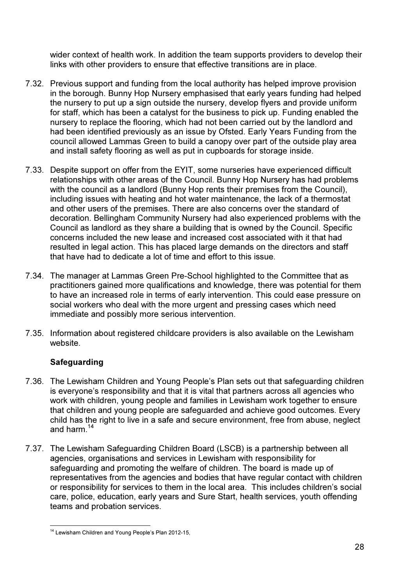wider context of health work. In addition the team supports providers to develop their links with other providers to ensure that effective transitions are in place.

- 7.32. Previous support and funding from the local authority has helped improve provision in the borough. Bunny Hop Nursery emphasised that early years funding had helped the nursery to put up a sign outside the nursery, develop flyers and provide uniform for staff, which has been a catalyst for the business to pick up. Funding enabled the nursery to replace the flooring, which had not been carried out by the landlord and had been identified previously as an issue by Ofsted. Early Years Funding from the council allowed Lammas Green to build a canopy over part of the outside play area and install safety flooring as well as put in cupboards for storage inside.
- 7.33. Despite support on offer from the EYIT, some nurseries have experienced difficult relationships with other areas of the Council. Bunny Hop Nursery has had problems with the council as a landlord (Bunny Hop rents their premises from the Council), including issues with heating and hot water maintenance, the lack of a thermostat and other users of the premises. There are also concerns over the standard of decoration. Bellingham Community Nursery had also experienced problems with the Council as landlord as they share a building that is owned by the Council. Specific concerns included the new lease and increased cost associated with it that had resulted in legal action. This has placed large demands on the directors and staff that have had to dedicate a lot of time and effort to this issue.
- 7.34. The manager at Lammas Green Pre-School highlighted to the Committee that as practitioners gained more qualifications and knowledge, there was potential for them to have an increased role in terms of early intervention. This could ease pressure on social workers who deal with the more urgent and pressing cases which need immediate and possibly more serious intervention.
- 7.35. Information about registered childcare providers is also available on the Lewisham website.

## Safeguarding

- 7.36. The Lewisham Children and Young People's Plan sets out that safeguarding children is everyone's responsibility and that it is vital that partners across all agencies who work with children, young people and families in Lewisham work together to ensure that children and young people are safeguarded and achieve good outcomes. Every child has the right to live in a safe and secure environment, free from abuse, neglect and harm.<sup>14</sup>
- 7.37. The Lewisham Safeguarding Children Board (LSCB) is a partnership between all agencies, organisations and services in Lewisham with responsibility for safeguarding and promoting the welfare of children. The board is made up of representatives from the agencies and bodies that have regular contact with children or responsibility for services to them in the local area. This includes children's social care, police, education, early years and Sure Start, health services, youth offending teams and probation services.

 $\overline{1}$ <sup>14</sup> Lewisham Children and Young People's Plan 2012-15,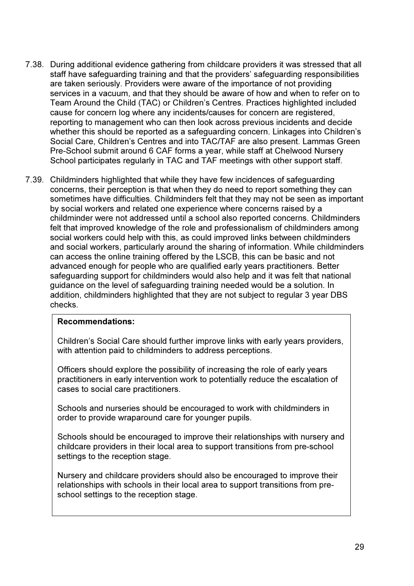- 7.38. During additional evidence gathering from childcare providers it was stressed that all staff have safeguarding training and that the providers' safeguarding responsibilities are taken seriously. Providers were aware of the importance of not providing services in a vacuum, and that they should be aware of how and when to refer on to Team Around the Child (TAC) or Children's Centres. Practices highlighted included cause for concern log where any incidents/causes for concern are registered, reporting to management who can then look across previous incidents and decide whether this should be reported as a safeguarding concern. Linkages into Children's Social Care, Children's Centres and into TAC/TAF are also present. Lammas Green Pre-School submit around 6 CAF forms a year, while staff at Chelwood Nursery School participates regularly in TAC and TAF meetings with other support staff.
- 7.39. Childminders highlighted that while they have few incidences of safeguarding concerns, their perception is that when they do need to report something they can sometimes have difficulties. Childminders felt that they may not be seen as important by social workers and related one experience where concerns raised by a childminder were not addressed until a school also reported concerns. Childminders felt that improved knowledge of the role and professionalism of childminders among social workers could help with this, as could improved links between childminders and social workers, particularly around the sharing of information. While childminders can access the online training offered by the LSCB, this can be basic and not advanced enough for people who are qualified early years practitioners. Better safeguarding support for childminders would also help and it was felt that national guidance on the level of safeguarding training needed would be a solution. In addition, childminders highlighted that they are not subject to regular 3 year DBS checks.

#### Recommendations:

Children's Social Care should further improve links with early years providers, with attention paid to childminders to address perceptions.

Officers should explore the possibility of increasing the role of early years practitioners in early intervention work to potentially reduce the escalation of cases to social care practitioners.

Schools and nurseries should be encouraged to work with childminders in order to provide wraparound care for younger pupils.

Schools should be encouraged to improve their relationships with nursery and childcare providers in their local area to support transitions from pre-school settings to the reception stage.

Nursery and childcare providers should also be encouraged to improve their relationships with schools in their local area to support transitions from preschool settings to the reception stage.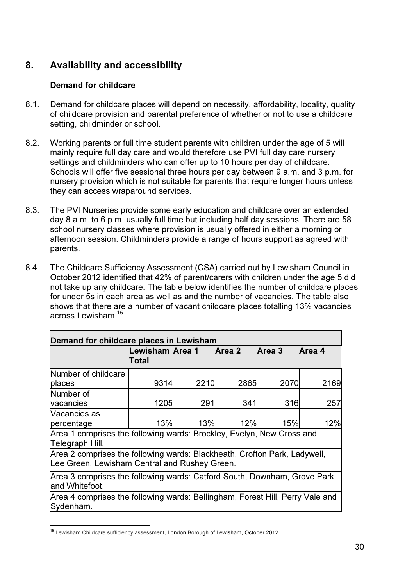## 8. Availability and accessibility

## Demand for childcare

- 8.1. Demand for childcare places will depend on necessity, affordability, locality, quality of childcare provision and parental preference of whether or not to use a childcare setting, childminder or school.
- 8.2. Working parents or full time student parents with children under the age of 5 will mainly require full day care and would therefore use PVI full day care nursery settings and childminders who can offer up to 10 hours per day of childcare. Schools will offer five sessional three hours per day between 9 a.m. and 3 p.m. for nursery provision which is not suitable for parents that require longer hours unless they can access wraparound services.
- 8.3. The PVI Nurseries provide some early education and childcare over an extended day 8 a.m. to 6 p.m. usually full time but including half day sessions. There are 58 school nursery classes where provision is usually offered in either a morning or afternoon session. Childminders provide a range of hours support as agreed with parents.
- 8.4. The Childcare Sufficiency Assessment (CSA) carried out by Lewisham Council in October 2012 identified that 42% of parent/carers with children under the age 5 did not take up any childcare. The table below identifies the number of childcare places for under 5s in each area as well as and the number of vacancies. The table also shows that there are a number of vacant childcare places totalling 13% vacancies across Lewisham.<sup>15</sup>

| Demand for childcare places in Lewisham                                                                                    |                                  |      |        |        |        |  |
|----------------------------------------------------------------------------------------------------------------------------|----------------------------------|------|--------|--------|--------|--|
|                                                                                                                            | -ewisham <b>IArea</b> 1<br>Total |      | Area 2 | Area 3 | Area 4 |  |
| Number of childcare<br>places                                                                                              | 9314                             | 2210 | 2865   | 2070   | 2169   |  |
| Number of<br>vacancies                                                                                                     | 1205                             | 291  | 341    | 316    | 257    |  |
| <b>Vacancies as</b><br>percentage                                                                                          | 13%                              | 13%  | 12%    | 15%    | 12%    |  |
| Area 1 comprises the following wards: Brockley, Evelyn, New Cross and<br>Telegraph Hill.                                   |                                  |      |        |        |        |  |
| Area 2 comprises the following wards: Blackheath, Crofton Park, Ladywell,<br>Lee Green, Lewisham Central and Rushey Green. |                                  |      |        |        |        |  |
| Area 3 comprises the following wards: Catford South, Downham, Grove Park<br>land Whitefoot.                                |                                  |      |        |        |        |  |
| Area 4 comprises the following wards: Bellingham, Forest Hill, Perry Vale and<br>Sydenham.                                 |                                  |      |        |        |        |  |

 $\overline{1}$ <sup>15</sup> Lewisham Childcare sufficiency assessment, London Borough of Lewisham, October 2012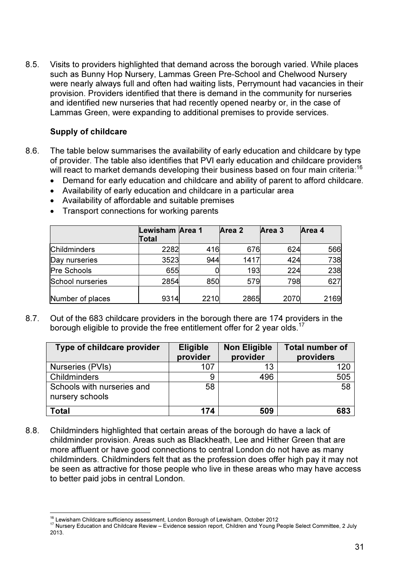8.5. Visits to providers highlighted that demand across the borough varied. While places such as Bunny Hop Nursery, Lammas Green Pre-School and Chelwood Nursery were nearly always full and often had waiting lists, Perrymount had vacancies in their provision. Providers identified that there is demand in the community for nurseries and identified new nurseries that had recently opened nearby or, in the case of Lammas Green, were expanding to additional premises to provide services.

## Supply of childcare

- 8.6. The table below summarises the availability of early education and childcare by type of provider. The table also identifies that PVI early education and childcare providers will react to market demands developing their business based on four main criteria:<sup>16</sup>
	- Demand for early education and childcare and ability of parent to afford childcare.
	- Availability of early education and childcare in a particular area
	- Availability of affordable and suitable premises
	- Transport connections for working parents

|                     | Lewisham Area 1<br><b>Total</b> |      | Area 2 | Area 3 | Area 4 |
|---------------------|---------------------------------|------|--------|--------|--------|
| <b>Childminders</b> | 2282                            | 416  | 676    | 624    | 566    |
| Day nurseries       | 3523                            | 944  | 1417   | 424    | 738    |
| Pre Schools         | 655                             |      | 193    | 224    | 238    |
| School nurseries    | 2854                            | 850  | 579    | 798    | 627    |
| Number of places    | 9314                            | 2210 | 2865   | 2070   | 2169   |

8.7. Out of the 683 childcare providers in the borough there are 174 providers in the borough eligible to provide the free entitlement offer for 2 year olds.<sup>17</sup>

| Type of childcare provider                    | <b>Eligible</b><br>provider | <b>Non Eligible</b><br>provider | <b>Total number of</b><br>providers |
|-----------------------------------------------|-----------------------------|---------------------------------|-------------------------------------|
| Nurseries (PVIs)                              | 107                         | 13                              | 120                                 |
| Childminders                                  | 9                           | 496                             | 505                                 |
| Schools with nurseries and<br>nursery schools | 58                          |                                 | 58                                  |
| Total                                         | 174                         | 509                             | 683                                 |

8.8. Childminders highlighted that certain areas of the borough do have a lack of childminder provision. Areas such as Blackheath, Lee and Hither Green that are more affluent or have good connections to central London do not have as many childminders. Childminders felt that as the profession does offer high pay it may not be seen as attractive for those people who live in these areas who may have access to better paid jobs in central London.

 $\overline{a}$ <sup>16</sup> Lewisham Childcare sufficiency assessment, London Borough of Lewisham, October 2012

<sup>17</sup> Nursery Education and Childcare Review – Evidence session report, Children and Young People Select Committee, 2 July 2013.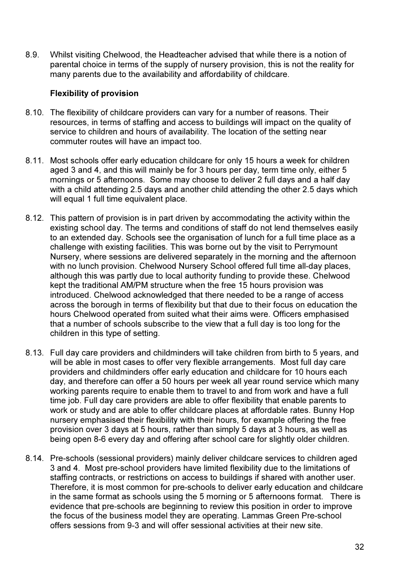8.9. Whilst visiting Chelwood, the Headteacher advised that while there is a notion of parental choice in terms of the supply of nursery provision, this is not the reality for many parents due to the availability and affordability of childcare.

## Flexibility of provision

- 8.10. The flexibility of childcare providers can vary for a number of reasons. Their resources, in terms of staffing and access to buildings will impact on the quality of service to children and hours of availability. The location of the setting near commuter routes will have an impact too.
- 8.11. Most schools offer early education childcare for only 15 hours a week for children aged 3 and 4, and this will mainly be for 3 hours per day, term time only, either 5 mornings or 5 afternoons. Some may choose to deliver 2 full days and a half day with a child attending 2.5 days and another child attending the other 2.5 days which will equal 1 full time equivalent place.
- 8.12. This pattern of provision is in part driven by accommodating the activity within the existing school day. The terms and conditions of staff do not lend themselves easily to an extended day. Schools see the organisation of lunch for a full time place as a challenge with existing facilities. This was borne out by the visit to Perrymount Nursery, where sessions are delivered separately in the morning and the afternoon with no lunch provision. Chelwood Nursery School offered full time all-day places, although this was partly due to local authority funding to provide these. Chelwood kept the traditional AM/PM structure when the free 15 hours provision was introduced. Chelwood acknowledged that there needed to be a range of access across the borough in terms of flexibility but that due to their focus on education the hours Chelwood operated from suited what their aims were. Officers emphasised that a number of schools subscribe to the view that a full day is too long for the children in this type of setting.
- 8.13. Full day care providers and childminders will take children from birth to 5 years, and will be able in most cases to offer very flexible arrangements. Most full day care providers and childminders offer early education and childcare for 10 hours each day, and therefore can offer a 50 hours per week all year round service which many working parents require to enable them to travel to and from work and have a full time job. Full day care providers are able to offer flexibility that enable parents to work or study and are able to offer childcare places at affordable rates. Bunny Hop nursery emphasised their flexibility with their hours, for example offering the free provision over 3 days at 5 hours, rather than simply 5 days at 3 hours, as well as being open 8-6 every day and offering after school care for slightly older children.
- 8.14. Pre-schools (sessional providers) mainly deliver childcare services to children aged 3 and 4. Most pre-school providers have limited flexibility due to the limitations of staffing contracts, or restrictions on access to buildings if shared with another user. Therefore, it is most common for pre-schools to deliver early education and childcare in the same format as schools using the 5 morning or 5 afternoons format. There is evidence that pre-schools are beginning to review this position in order to improve the focus of the business model they are operating. Lammas Green Pre-school offers sessions from 9-3 and will offer sessional activities at their new site.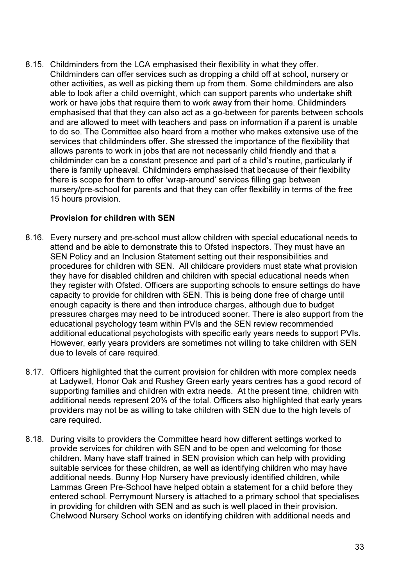8.15. Childminders from the LCA emphasised their flexibility in what they offer. Childminders can offer services such as dropping a child off at school, nursery or other activities, as well as picking them up from them. Some childminders are also able to look after a child overnight, which can support parents who undertake shift work or have jobs that require them to work away from their home. Childminders emphasised that that they can also act as a go-between for parents between schools and are allowed to meet with teachers and pass on information if a parent is unable to do so. The Committee also heard from a mother who makes extensive use of the services that childminders offer. She stressed the importance of the flexibility that allows parents to work in jobs that are not necessarily child friendly and that a childminder can be a constant presence and part of a child's routine, particularly if there is family upheaval. Childminders emphasised that because of their flexibility there is scope for them to offer 'wrap-around' services filling gap between nursery/pre-school for parents and that they can offer flexibility in terms of the free 15 hours provision.

## Provision for children with SEN

- 8.16. Every nursery and pre-school must allow children with special educational needs to attend and be able to demonstrate this to Ofsted inspectors. They must have an SEN Policy and an Inclusion Statement setting out their responsibilities and procedures for children with SEN. All childcare providers must state what provision they have for disabled children and children with special educational needs when they register with Ofsted. Officers are supporting schools to ensure settings do have capacity to provide for children with SEN. This is being done free of charge until enough capacity is there and then introduce charges, although due to budget pressures charges may need to be introduced sooner. There is also support from the educational psychology team within PVIs and the SEN review recommended additional educational psychologists with specific early years needs to support PVIs. However, early years providers are sometimes not willing to take children with SEN due to levels of care required.
- 8.17. Officers highlighted that the current provision for children with more complex needs at Ladywell, Honor Oak and Rushey Green early years centres has a good record of supporting families and children with extra needs. At the present time, children with additional needs represent 20% of the total. Officers also highlighted that early years providers may not be as willing to take children with SEN due to the high levels of care required.
- 8.18. During visits to providers the Committee heard how different settings worked to provide services for children with SEN and to be open and welcoming for those children. Many have staff trained in SEN provision which can help with providing suitable services for these children, as well as identifying children who may have additional needs. Bunny Hop Nursery have previously identified children, while Lammas Green Pre-School have helped obtain a statement for a child before they entered school. Perrymount Nursery is attached to a primary school that specialises in providing for children with SEN and as such is well placed in their provision. Chelwood Nursery School works on identifying children with additional needs and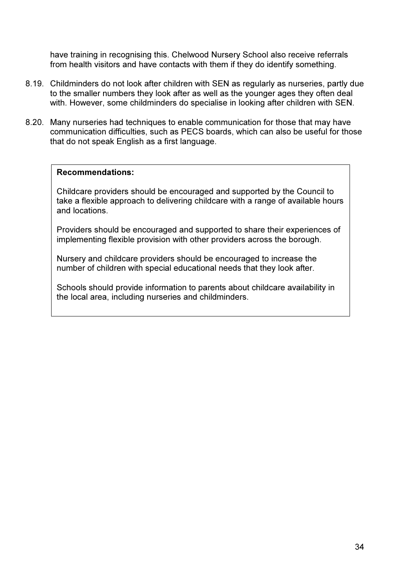have training in recognising this. Chelwood Nursery School also receive referrals from health visitors and have contacts with them if they do identify something.

- 8.19. Childminders do not look after children with SEN as regularly as nurseries, partly due to the smaller numbers they look after as well as the younger ages they often deal with. However, some childminders do specialise in looking after children with SEN.
- 8.20. Many nurseries had techniques to enable communication for those that may have communication difficulties, such as PECS boards, which can also be useful for those that do not speak English as a first language.

#### Recommendations:

Childcare providers should be encouraged and supported by the Council to take a flexible approach to delivering childcare with a range of available hours and locations.

Providers should be encouraged and supported to share their experiences of implementing flexible provision with other providers across the borough.

Nursery and childcare providers should be encouraged to increase the number of children with special educational needs that they look after.

Schools should provide information to parents about childcare availability in the local area, including nurseries and childminders.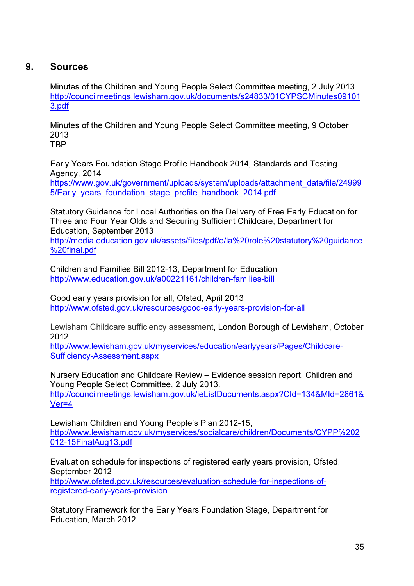## 9. Sources

Minutes of the Children and Young People Select Committee meeting, 2 July 2013 http://councilmeetings.lewisham.gov.uk/documents/s24833/01CYPSCMinutes09101 3.pdf

Minutes of the Children and Young People Select Committee meeting, 9 October 2013 **TRP** 

Early Years Foundation Stage Profile Handbook 2014, Standards and Testing Agency, 2014

https://www.gov.uk/government/uploads/system/uploads/attachment\_data/file/24999 5/Early\_years\_foundation\_stage\_profile\_handbook\_2014.pdf

Statutory Guidance for Local Authorities on the Delivery of Free Early Education for Three and Four Year Olds and Securing Sufficient Childcare, Department for Education, September 2013

http://media.education.gov.uk/assets/files/pdf/e/la%20role%20statutory%20guidance %20final.pdf

Children and Families Bill 2012-13, Department for Education http://www.education.gov.uk/a00221161/children-families-bill

Good early years provision for all, Ofsted, April 2013 http://www.ofsted.gov.uk/resources/good-early-years-provision-for-all

Lewisham Childcare sufficiency assessment, London Borough of Lewisham, October 2012

http://www.lewisham.gov.uk/myservices/education/earlyyears/Pages/Childcare-Sufficiency-Assessment.aspx

Nursery Education and Childcare Review – Evidence session report, Children and Young People Select Committee, 2 July 2013. http://councilmeetings.lewisham.gov.uk/ieListDocuments.aspx?CId=134&MId=2861& Ver=4

Lewisham Children and Young People's Plan 2012-15, http://www.lewisham.gov.uk/myservices/socialcare/children/Documents/CYPP%202 012-15FinalAug13.pdf

Evaluation schedule for inspections of registered early years provision, Ofsted, September 2012 http://www.ofsted.gov.uk/resources/evaluation-schedule-for-inspections-ofregistered-early-years-provision

Statutory Framework for the Early Years Foundation Stage, Department for Education, March 2012